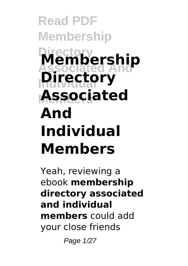## **Read PDF Membership Directory Associated And Membership Directory Members Associated And Individual Members**

Yeah, reviewing a ebook **membership directory associated and individual members** could add your close friends

Page 1/27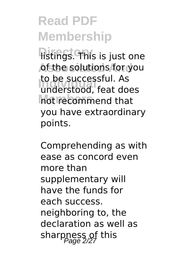**Histings. This is just one At the solutions for you** to be successitul. As<br>understood, feat does **Members** not recommend that to be successful. As you have extraordinary points.

Comprehending as with ease as concord even more than supplementary will have the funds for each success. neighboring to, the declaration as well as sharpness of this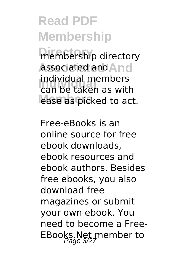membership directory **Associated And** associated and **Individual** can be taken as with ease as picked to act. individual members

Free-eBooks is an online source for free ebook downloads, ebook resources and ebook authors. Besides free ebooks, you also download free magazines or submit your own ebook. You need to become a Free-EBooks.Net member to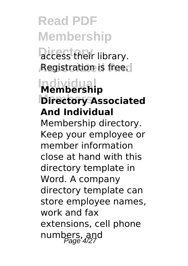**Directory**. **Registration is free.** 

#### **Individual Membership Directory Associated And Individual**

Membership directory. Keep your employee or member information close at hand with this directory template in Word. A company directory template can store employee names, work and fax extensions, cell phone numbers, and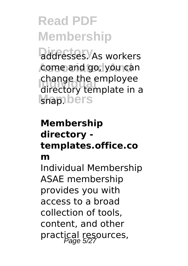addresses. As workers come and go, you can change the employee<br>
directory template in **Ishap**.bers directory template in a

#### **Membership directory templates.office.co**

#### **m**

Individual Membership ASAE membership provides you with access to a broad collection of tools, content, and other practical resources,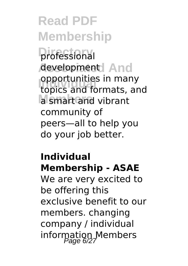**Directory** professional development And **Individual Copyrightness** in many **Members** a smart and vibrant opportunities in many community of peers—all to help you do your job better.

#### **Individual Membership - ASAE**

We are very excited to be offering this exclusive benefit to our members. changing company / individual information Members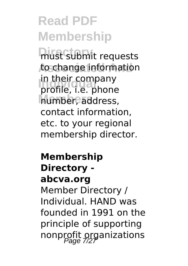**must submit requests** to change information In their company<br>profile, i.e. phone **Members** number, address, in their company contact information, etc. to your regional membership director.

#### **Membership Directory abcva.org** Member Directory / Individual. HAND was founded in 1991 on the principle of supporting nonprofit organizations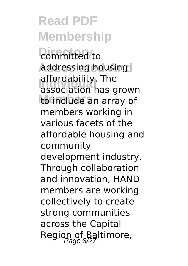*<u>committed</u>* to **Addressing housing** anordability. The<br>association has grown to include an array of affordability. The members working in various facets of the affordable housing and community development industry. Through collaboration and innovation, HAND members are working collectively to create strong communities across the Capital Region of Baltimore,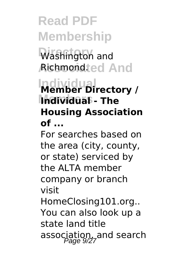Washington and **Richmondted And** 

#### **Individual Member Directory / Members Individual - The Housing Association of ...**

For searches based on the area (city, county, or state) serviced by the ALTA member company or branch visit HomeClosing101.org.. You can also look up a state land title association, and search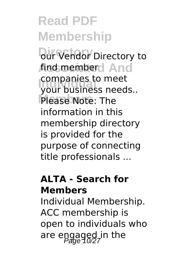**Dur Vendor** Directory to find member And companies to meet<br>your business needs.. Please Note: The companies to meet information in this membership directory is provided for the purpose of connecting title professionals ...

#### **ALTA - Search for Members**

Individual Membership. ACC membership is open to individuals who are engaged in the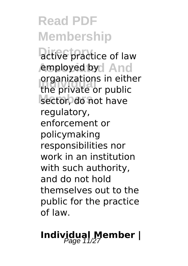**Directory** active practice of law employed by And **In dividual of the private or public** sector, do not have organizations in either regulatory, enforcement or policymaking responsibilities nor work in an institution with such authority, and do not hold themselves out to the public for the practice of law.

## **Individual Member |**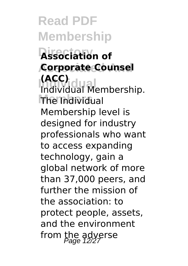**Read PDF Membership Directory Association of Associated And Corporate Counsel Individual** Individual Membership. **Members** The Individual **(ACC)** Membership level is designed for industry professionals who want to access expanding technology, gain a global network of more than 37,000 peers, and further the mission of the association: to protect people, assets, and the environment from the adverse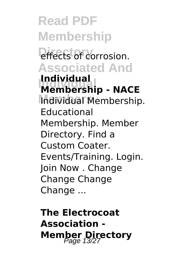**Read PDF Membership** effects of corrosion. **Associated And Individual Membership - NACE Members** Individual Membership. **Individual** Educational Membership. Member Directory. Find a Custom Coater. Events/Training. Login. Join Now . Change Change Change Change ...

**The Electrocoat Association - Member Directory**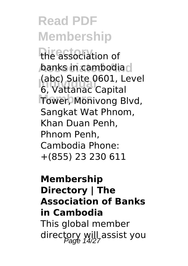the association of **banks in cambodia**d **Individual** 6, Vattanac Capital Tower, Monivong Blvd, (abc) Suite 0601, Level Sangkat Wat Phnom, Khan Duan Penh, Phnom Penh, Cambodia Phone: +(855) 23 230 611

#### **Membership Directory | The Association of Banks in Cambodia** This global member directory will assist you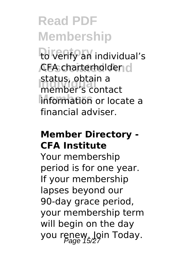to verify an individual's **CFA charterholder d Individual** member's contact **Members** information or locate a status, obtain a financial adviser.

#### **Member Directory - CFA Institute**

Your membership period is for one year. If your membership lapses beyond our 90-day grace period, your membership term will begin on the day you renew. Join Today.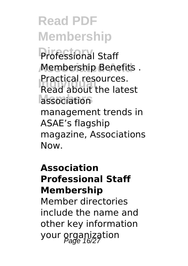Professional Staff **Membership Benefits. Individual** Read about the latest association Practical resources. management trends in ASAE's flagship magazine, Associations Now.

#### **Association Professional Staff Membership**

Member directories include the name and other key information your organization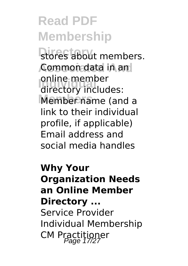stores about members. **Common data in and Individual Comme internal**<br>
directory includes: Member name (and a online member link to their individual profile, if applicable) Email address and social media handles

**Why Your Organization Needs an Online Member Directory ...** Service Provider Individual Membership CM Practitioner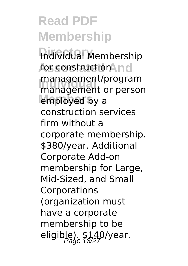**Individual Membership** for construction And **Individual** management or person employed by a management/program construction services firm without a corporate membership. \$380/year. Additional Corporate Add-on membership for Large, Mid-Sized, and Small Corporations (organization must have a corporate membership to be eligible).  $$140$ /year.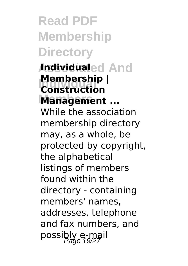**Read PDF Membership Directory Individualed And Membership**<br>Construction **Members Management ... Membership |** While the association membership directory may, as a whole, be protected by copyright, the alphabetical listings of members found within the directory - containing members' names, addresses, telephone and fax numbers, and possibly e-mail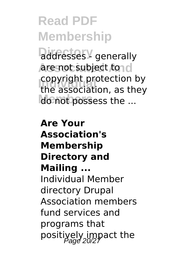addresses<sup>y</sup> generally **Are not subject to cl Copyright protection by**<br>the association as they do not possess the ... the association, as they

**Are Your Association's Membership Directory and Mailing ...** Individual Member directory Drupal Association members fund services and programs that positively impact the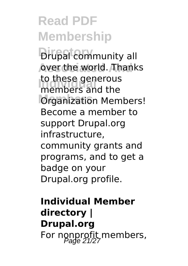**Drupal community all** over the world. Thanks to these generous<br>
members and the **Organization Members!** to these generous Become a member to support Drupal.org infrastructure, community grants and programs, and to get a badge on your Drupal.org profile.

**Individual Member directory | Drupal.org** For nonprofit members,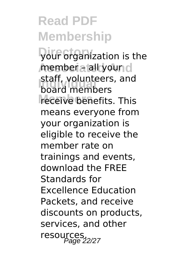**Directory** your organization is the member a lall your d **Individual** board members receive benefits. This staff, volunteers, and means everyone from your organization is eligible to receive the member rate on trainings and events, download the FREE Standards for Excellence Education Packets, and receive discounts on products, services, and other resources.<br>Page 22/27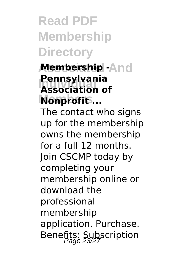**Read PDF Membership Directory**

#### **Membership -And Individual Association of Nonprofit**... **Pennsylvania**

The contact who signs up for the membership owns the membership for a full 12 months. Join CSCMP today by completing your membership online or download the professional membership application. Purchase. Benefits: Subscription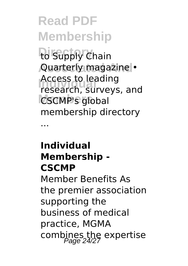to Supply Chain **Quarterly magazine • Individual** research, surveys, and **CSCMP's** global Access to leading membership directory

#### **Individual Membership - CSCMP**

...

Member Benefits As the premier association supporting the business of medical practice, MGMA combines the expertise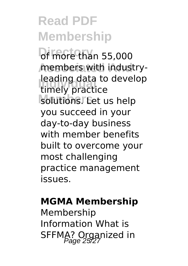**Df more than 55,000** members with industry-**Individual**<br> **E** timely practice solutions. Eet us help leading data to develop you succeed in your day-to-day business with member benefits built to overcome your most challenging practice management issues.

#### **MGMA Membership**

Membership Information What is SFFMA? Organized in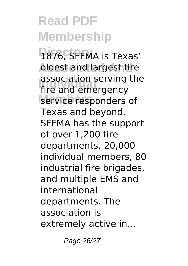1876, SFFMA is Texas' **Aldest and largest fire Individual** fire and emergency service responders of association serving the Texas and beyond. SFFMA has the support of over 1,200 fire departments, 20,000 individual members, 80 industrial fire brigades, and multiple EMS and international departments. The association is extremely active in…

Page 26/27